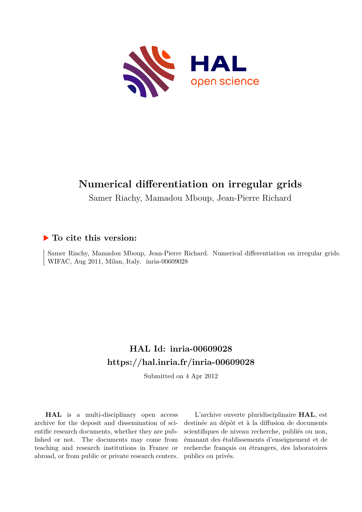

# **Numerical differentiation on irregular grids**

Samer Riachy, Mamadou Mboup, Jean-Pierre Richard

# **To cite this version:**

Samer Riachy, Mamadou Mboup, Jean-Pierre Richard. Numerical differentiation on irregular grids. WIFAC, Aug 2011, Milan, Italy. inria-00609028

# **HAL Id: inria-00609028 <https://hal.inria.fr/inria-00609028>**

Submitted on 4 Apr 2012

**HAL** is a multi-disciplinary open access archive for the deposit and dissemination of scientific research documents, whether they are published or not. The documents may come from teaching and research institutions in France or abroad, or from public or private research centers.

L'archive ouverte pluridisciplinaire **HAL**, est destinée au dépôt et à la diffusion de documents scientifiques de niveau recherche, publiés ou non, émanant des établissements d'enseignement et de recherche français ou étrangers, des laboratoires publics ou privés.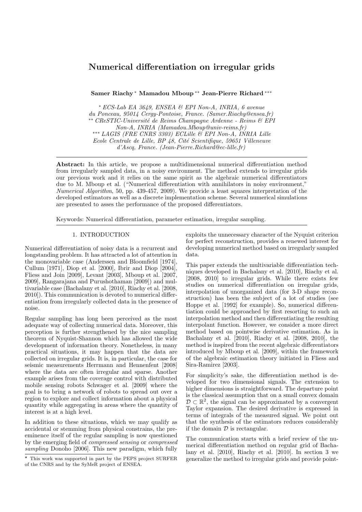# Numerical differentiation on irregular grids

Samer Riachy <sup>∗</sup> Mamadou Mboup ∗∗ Jean-Pierre Richard ∗∗∗

<sup>∗</sup> ECS-Lab EA 3649, ENSEA & EPI Non-A, INRIA, 6 avenue du Ponceau, 95014 Cergy-Pontoise, France. (Samer.Riachy@ensea.fr) ∗∗ CReSTIC-Universit´e de Reims Champagne Ardenne - Reims & EPI Non-A, INRIA (Mamadou.Mboup@univ-reims.fr) ∗∗∗ LAGIS (FRE CNRS 3303) ECLille & EPI Non-A, INRIA Lille  $Ecole Centrale de Lille, BP 48, Cité Scientificue, 59651 Villeneuve$ d'Ascq, France. (Jean-Pierre.Richard@ec-lille.fr)

Abstract: In this article, we propose a multidimensional numerical differentiation method from irregularly sampled data, in a noisy environment. The method extends to irregular grids our previous work and it relies on the same spirit as the algebraic numerical differentiators due to M. Mboup et al. ("Numerical differentiation with annihilators in noisy environment," Numerical Algorithm, 50, pp. 439-457, 2009). We provide a least squares interpretation of the developed estimators as well as a discrete implementation scheme. Several numerical simulations are presented to asses the performance of the proposed differentiators.

Keywords: Numerical differentiation, parameter estimation, irregular sampling.

#### 1. INTRODUCTION

Numerical differentiation of noisy data is a recurrent and longstanding problem. It has attracted a lot of attention in the monovariable case (Anderssen and Bloomfield [1974], Cullum [1971], Diop et al. [2000], Ibrir and Diop [2004], Fliess and Join [2009], Levant [2003], Mboup et al. [2007, 2009], Rangarajana and Purushothaman [2009]) and multivariable case (Bachalany et al. [2010], Riachy et al. [2008, 2010]). This communication is devoted to numerical differentiation from irregularly collected data in the presence of noise.

Regular sampling has long been perceived as the most adequate way of collecting numerical data. Moreover, this perception is further strengthened by the nice sampling theorem of Nyquist-Shannon which has allowed the wide development of information theory. Nonetheless, in many practical situations, it may happen that the data are collected on irregular grids. It is, in particular, the case for seismic measurements Herrmann and Hennenfent [2008] where the data are often irregular and sparse. Another example arises from the coverage control with distributed mobile sensing robots Schwager et al. [2009] where the goal is to bring a network of robots to spread out over a region to explore and collect information about a physical quantity while aggregating in areas where the quantity of interest is at a high level.

In addition to these situations, which we may qualify as accidental or stemming from physical constrains, the preeminence itself of the regular sampling is now questioned by the emerging field of compressed sensing or compressed sampling Donoho [2006]. This new paradigm, which fully

exploits the unnecessary character of the Nyquist criterion for perfect reconstruction, provides a renewed interest for developing numerical method based on irregularly sampled data.

This paper extends the multivariable differentiation techniques developed in Bachalany et al. [2010], Riachy et al. [2008, 2010] to irregular grids. While there exists few studies on numerical differentiation on irregular grids, interpolation of unorganized data (for 3-D shape reconstruction) has been the subject of a lot of studies (see Hoppe et al. [1992] for example). So, numerical differentiation could be approached by first resorting to such an interpolation method and then differentiating the resulting interpolant function. However, we consider a more direct method based on pointwise derivative estimation. As in Bachalany et al. [2010], Riachy et al. [2008, 2010], the method is inspired from the recent algebraic differentiators introduced by Mboup et al. [2009], within the framework of the algebraic estimation theory initiated in Fliess and Sira-Ramirez [2003].

For simplicity's sake, the differentiation method is developed for two dimensional signals. The extension to higher dimensions is straightforward. The departure point is the classical assumption that on a small convex domain  $\mathcal{D} \subset \mathbb{R}^2$ , the signal can be approximated by a convergent Taylor expansion. The desired derivative is expressed in terms of integrals of the measured signal. We point out that the synthesis of the estimators reduces considerably if the domain  $D$  is rectangular.

The communication starts with a brief review of the numerical differentiation method on regular grid of Bachalany et al. [2010], Riachy et al. [2010]. In section 3 we generalize the method to irregular grids and provide point-

<sup>?</sup> This work was supported in part by the PEPS project SURFER of the CNRS and by the SyMeR project of ENSEA.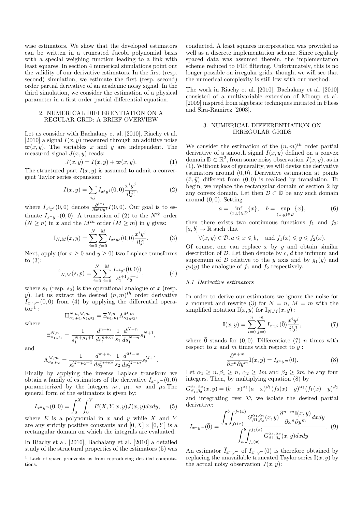wise estimators. We show that the developed estimators can be written in a truncated Jacobi polynomial basis with a special weighing function leading to a link with least squares. In section 4 numerical simulations point out the validity of our derivative estimators. In the first (resp. second) simulation, we estimate the first (resp. second) order partial derivative of an academic noisy signal. In the third simulation, we consider the estimation of a physical parameter in a first order partial differential equation.

# 2. NUMERICAL DIFFERENTIATION ON A REGULAR GRID: A BRIEF OVERVIEW

Let us consider with Bachalany et al. [2010], Riachy et al. [2010] a signal  $I(x, y)$  measured through an additive noise  $\varpi(x, y)$ . The variables x and y are independent. The measured signal  $J(x, y)$  reads:

$$
J(x, y) = I(x, y) + \varpi(x, y). \tag{1}
$$

The structured part  $I(x, y)$  is assumed to admit a convergent Taylor series expansion:

$$
I(x,y) = \sum_{i,j} I_{x^i y^j}(0,0) \frac{x^i y^j}{i!j!},
$$
 (2)

where  $I_{x^i y^j}(0,0)$  denote  $\frac{\partial^{i+j}}{\partial x^i \partial y^j}I(0,0)$ . Our goal is to estimate  $I_{x^n y^m}(0,0)$ . A truncation of (2) to the  $N^{th}$  order  $(N > n)$  in x and the  $M^{th}$  order  $(M > m)$  in y gives:

$$
\mathbb{I}_{N,M}(x,y) = \sum_{i=0}^{N} \sum_{j=0}^{M} I_{x^i y^j}(0,0) \frac{x^i y^j}{i!j!}.
$$
 (3)

Next, apply (for  $x \geq 0$  and  $y \geq 0$ ) two Laplace transforms to  $(3)$ :

$$
\hat{\mathbb{I}}_{N,M}(s,p) = \sum_{i=0}^{N} \sum_{j=0}^{M} \frac{I_{x^i y^j}(0,0)}{s_1^{i+1} s_2^{j+1}},
$$
\n(4)

where  $s_1$  (resp.  $s_2$ ) is the operational analogue of x (resp. y). Let us extract the desired  $(n, m)$ <sup>th</sup> order derivative  $I_{x^n y^m}(0,0)$  from (4) by applying the differential opera- $\mathrm{tor}^{\,1}$  :

where

$$
\Xi_{\kappa_1,\mu_1}^{N,n} = \frac{1}{s_1^{N+\mu_1+1}} \frac{d^{n+\kappa_1}}{ds_1^{n+\kappa_1}} \frac{1}{s_1} \frac{d^{N-n}}{ds_1^{N-n}} s_1^{N+1},
$$

 $\Pi^{N,n,M,m}_{\kappa_1,\mu_1,\kappa_2,\mu_2} = \Xi^{N,n}_{\kappa_1,\mu_1} \Lambda^{M,m}_{\kappa_2,\mu_2},$ 

and

$$
\Lambda_{\kappa_2,\mu_2}^{M,m}=\frac{1}{s_2^{M+\mu_2+1}}\frac{d^{m+\kappa_2}}{ds_2^{m+\kappa_2}}\frac{1}{s_2}\frac{d^{M-m}}{ds_2^{M-m}}s_2^{M+1}.
$$

Finally by applying the inverse Laplace transform we obtain a family of estimators of the derivative  $I_{x^n y^m}(0,0)$ parameterized by the integers  $\kappa_1$ ,  $\mu_1$ ,  $\kappa_2$  and  $\mu_2$ . The general form of the estimators is given by:

$$
I_{x^n y^m}(0,0) = \int_0^X \int_0^Y E(X,Y,x,y) J(x,y) dx dy, \qquad (5)
$$

where  $E$  is a polynomial in  $x$  and  $y$  while  $X$  and  $Y$ are any strictly positive constants and  $[0, X] \times [0, Y]$  is a rectangular domain on which the integrals are evaluated.

In Riachy et al. [2010], Bachalany et al. [2010] a detailed study of the structural properties of the estimators (5) was conducted. A least squares interpretation was provided as well as a discrete implementation scheme. Since regularly spaced data was assumed therein, the implementation scheme reduced to FIR filtering. Unfortunately, this is no longer possible on irregular grids, though, we will see that the numerical complexity is still low with our method.

The work in Riachy et al. [2010], Bachalany et al. [2010] consisted of a multivariable extension of Mboup et al. [2009] inspired from algebraic techniques initiated in Fliess and Sira-Ramirez [2003].

# 3. NUMERICAL DIFFERENTIATION ON IRREGULAR GRIDS

We consider the estimation of the  $(n, m)$ <sup>th</sup> order partial derivative of a smooth signal  $I(x, y)$  defined on a convex domain  $\mathbb{D} \subset \mathbb{R}^2$ , from some noisy observation  $J(x, y)$ , as in (1). Without loss of generality, we will devise the derivative estimators around  $(0, 0)$ . Derivative estimation at points  $(\bar{x}, \bar{y})$  different from  $(0, 0)$  is realized by translation. To begin, we replace the rectangular domain of section 2 by any convex domain. Let then  $\mathcal{D} \subset \mathbb{D}$  be any such domain around  $(0, 0)$ . Setting

$$
a = \inf_{(x,y)\in\mathcal{D}} \{x\}; \quad b = \sup_{(x,y)\in\mathcal{D}} \{x\},
$$
 (6)

then there exists two continuous functions  $f_1$  and  $f_2$ :  $[a, b] \to \mathbb{R}$  such that

$$
\forall (x, y) \in \mathcal{D}, a \leqslant x \leqslant b, \text{ and } f_1(x) \leqslant y \leqslant f_2(x).
$$

Of course, one can replace x by  $y$  and obtain similar description of  $D$ . Let then denote by  $c, d$  the infimum and supremum of D relative to the y axis and by  $g_1(y)$  and  $g_2(y)$  the analogue of  $f_1$  and  $f_2$  respectively.

# 3.1 Derivative estimators

In order to derive our estimators we ignore the noise for a moment and rewrite (3) for  $N = n$ ,  $M = m$  with the simplified notation  $\mathbb{I}(x, y)$  for  $\mathbb{I}_{N,M}(x, y)$ :

$$
\mathbb{I}(x,y) = \sum_{i=0}^{n} \sum_{j=0}^{m} I_{x^i y^j}(\bar{0}) \frac{x^i y^j}{i!j!},
$$
\n(7)

where  $\bar{0}$  stands for  $(0, 0)$ . Differentiate (7) *n* times with respect to  $x$  and  $m$  times with respect to  $y$ :

$$
\frac{\partial^{n+m}}{\partial x^n \partial y^m} \mathbb{I}(x, y) = I_{x^n y^m}(\bar{0}).\tag{8}
$$

Let  $\alpha_1 \geq n, \beta_1 \geq n, \alpha_2 \geq 2m$  and  $\beta_2 \geq 2m$  be any four integers. Then, by multiplying equation (8) by

$$
G_{\beta_1,\beta_2}^{\alpha_1,\alpha_2}(x,y) = (b-x)^{\alpha_1}(a-x)^{\beta_1}(f_2(x)-y)^{\alpha_2}(f_1(x)-y)^{\beta_2}
$$
  
and integrating over  $\mathcal{D}$ , we isolate the desired partial  
derivative:

$$
I_{x^n y^m}(\bar{0}) = \frac{\int_a^b \int_{f_1(x)}^{f_2(x)} G^{\alpha_1, \alpha_2}_{\beta_1, \beta_2}(x, y) \frac{\partial^{n+m} \mathbb{I}(x, y)}{\partial x^n \partial y^m} dx dy}{\int_a^b \int_{f_1(x)}^{f_2(x)} G^{\alpha_1, \alpha_2}_{\beta_1, \beta_2}(x, y) dx dy}.
$$
 (9)

An estimator  $\tilde{I}_{x^n y^m}$  of  $I_{x^n y^m}(\bar{0})$  is therefore obtained by replacing the unavailable truncated Taylor series  $\mathbb{I}(x, y)$  by the actual noisy observation  $J(x, y)$ :

<sup>1</sup> Lack of space prenvents us from reproducing detailed computations.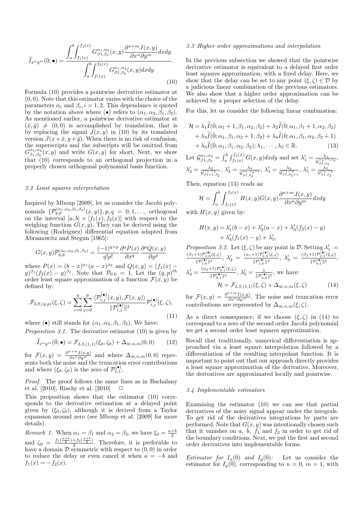$$
\widetilde{I}_{x^ny^m}(\overline{0};\bullet) = \frac{\int_a^b \int_{f_1(x)}^{f_2(x)} G_{\beta 1,\beta_2}^{\alpha_1,\alpha_2}(x,y) \frac{\partial^{n+m} J(x,y)}{\partial x^n \partial y^m} dx dy}{\int_a^b \int_{f_1(x)}^{f_2(x)} G_{\beta 1,\beta_2}^{\alpha_1,\alpha_2}(x,y) dx dy}.
$$
\n(10)

Formula (10) provides a pointwise derivative estimator at  $(0, 0)$ . Note that this estimator varies with the choice of the parameters  $\alpha_i$  and  $\beta_i$ ,  $i = 1, 2$ . This dependance is quoted by the notation above where ( $\bullet$ ) refers to  $(\alpha_1, \alpha_2, \beta_1, \beta_2)$ . As mentioned earlier, a pointwise derivative estimator at  $(\bar{x}, \bar{y}) \neq (0, 0)$  is accomplished by translation, that is by replacing the signal  $J(x, y)$  in (10) by its translated version  $J(x+\bar{x}, y+\bar{y})$ . When there is no risk of confusion, the superscripts and the subscripts will be omitted from  $G^{\alpha_1,\alpha_2}_{\beta_1,\beta_2}(x,y)$  and write  $G(x,y)$  for short. Next, we show that (10) corresponds to an orthogonal projection in a properly chosen orthogonal polynomial basis function.

#### 3.2 Least squares interpretation

Inspired by Mboup [2009], let us consider the Jacobi polynomials  $\{P_{q,p}^{(\alpha_1,\alpha_2,\beta_1,\beta_2)}(x,y)\}, p,q = 0,1,...,$  orthogonal on the interval  $[a, b] \times [f_1(x), f_2(x)]$  with respect to the weighing function  $G(x, y)$ . They can be derived using the following (Rodriguez) differential equation adapted from Abramowitz and Stegun [1965]:

$$
G(x,y)\mathcal{P}_{q,p}^{(\alpha_1,\alpha_2,\beta_1,\beta_2)} = \frac{(-1)^{q+p}}{q!p!} \frac{\partial^q P(x)}{\partial x^q} \frac{\partial^p Q(x,y)}{\partial y^p}
$$

where  $P(x) = (b-x)^{\alpha_1}(a-x)^{\alpha_2}$  and  $Q(x,y) = (f_1(x) (y)^{\beta_1}(f_2(x)-y)^{\beta_2}$ . Note that  $\mathcal{P}_{0,0} = 1$ . Let the  $(q, p)^{th}$ order least square approximation of a function  $\mathcal{F}(x, y)$  be defined by:

$$
\mathcal{F}_{LS,(q,p)}(\xi,\zeta) = \sum_{i=0}^{q} \sum_{j=0}^{p} \frac{\langle \mathcal{P}_{i,j}^{(\bullet)}(x,y), \mathcal{F}(x,y) \rangle}{\|\mathcal{P}_{i,j}^{(\bullet)}\|^2} \mathcal{P}_{i,j}^{(\bullet)}(\xi,\zeta),\tag{11}
$$

where (•) still stands for  $(\alpha_1, \alpha_2, \beta_1, \beta_2)$ . We have:

*Proposition 3.1.* The derivative estimator  $(10)$  is given by

$$
\widetilde{I}_{x^n y^m}(\overline{0}; \bullet) = \mathcal{F}_{LS,(1,1)}(\xi_0, \zeta_0) + \Delta_{\varpi, n, m}(0, 0) \tag{12}
$$

for  $\mathcal{F}(x,y) = \frac{\partial^{n+m} I(x,y)}{\partial x^n \partial y^m}$  and where  $\Delta_{\varpi,n,m}(0,0)$  represents both the noise and the truncation error contributions and where  $(\xi_0, \zeta_0)$  is the zero of  $\mathcal{P}_{1,1}^{(\bullet)}$ .

Proof. The proof follows the same lines as in Bachalany et al. [2010], Riachy et al. [2010]  $\Box$ 

This proposition shows that the estimator (10) corresponds to the derivative estimation at a delayed point given by  $(\xi_0, \zeta_0)$ , although it is derived from a Taylor expansion around zero (see Mboup et al. [2009] for more details).

Remark 1. When  $\alpha_1 = \beta_1$  and  $\alpha_2 = \beta_2$ , we have  $\xi_0 = \frac{a+b}{2}$ and  $\zeta_0 = \frac{f_1(\frac{a+b}{2}) + f_2(\frac{a+b}{2})}{2}$  $\frac{1}{2}$ . Therefore, it is preferable to have a domain  $\mathcal D$  symmetric with respect to  $(0,0)$  in order to reduce the delay or even cancel it when  $a = -b$  and  $f_1(x) = -f_2(x)$ .

### 3.3 Higher order approximations and interpolation

In the previous subsection we showed that the pointwise derivative estimator is equivalent to a delayed first order least squares approximation, with a fixed delay. Here, we show that the delay can be set to any point  $(\xi, \zeta) \in \mathcal{D}$  by a judicious linear combination of the previous estimators. We also show that a higher order approximation can be achieved by a proper selection of the delay.

For this, let us consider the following linear combination:

$$
\mathcal{H} = \lambda_1 \widetilde{I}(\overline{0}; \alpha_1 + 1, \beta_1, \alpha_2, \beta_2) + \lambda_2 \widetilde{I}(\overline{0}; \alpha_1, \beta_1 + 1, \alpha_2, \beta_2) + \lambda_3 \widetilde{I}(\overline{0}; \alpha_1, \beta_1, \alpha_2 + 1, \beta_2) + \lambda_4 \widetilde{I}(\overline{0}; \alpha_1, \beta_1, \alpha_2, \beta_2 + 1) + \lambda_5 \widetilde{I}(\overline{0}; \alpha_1, \beta_1, \alpha_2, \beta_2); \lambda_1, \cdots, \lambda_5 \in \mathbb{R}.
$$
\n(13)

Let  $\mathcal{G}_{\beta_1,\beta_2}^{\alpha_1,\alpha_2} = \int_a^b \int_{f_1(x)}^{f_2(x)} G(x,y) dx dy$  and set  $\lambda'_1 = \frac{\lambda_1}{\mathcal{G}_{\alpha_1,\alpha_2}^{\alpha_1,\alpha_2}}$  $\overline{\mathcal{G}^{\alpha_1+1,\alpha_2}_{\beta_1,\beta_2}}$ ,  $\lambda'_2=\frac{\lambda_2}{\mathcal{G}_{\beta1+1,\beta_2}^{\alpha_1,\alpha_2}},\,\lambda'_3=\frac{\lambda_3}{\mathcal{G}_{\beta1,\beta_2}^{\alpha_1,\alpha_2}}$  $\overline{\mathcal{G}_{\beta1,\beta2}^{\alpha_1,\alpha_2+1}}$ ,  $\lambda_4' = \frac{\lambda_4}{\mathcal{G}_{\beta_1,\beta_2+1}^{\alpha_1,\alpha_2}}$ ,  $\lambda_5' = \frac{\lambda_5}{\mathcal{G}_{\beta_1,\beta_2}^{\alpha_1,\alpha_2}}$ .

Then, equation (13) reads as:

$$
\mathcal{H} = \int_{a}^{b} \int_{f_1(x)}^{f_2(x)} H(x, y) G(x, y) \frac{\partial^{n+m} J(x, y)}{\partial x^n \partial y^m} dx dy
$$

with  $H(x, y)$  given by:

$$
H(x,y) = \lambda'_1(b-x) + \lambda'_2(a-x) + \lambda'_3(f_2(x) - y) + \lambda'_4(f_1(x) - y) + \lambda'_5.
$$

Proposition 3.2. Let  $(\xi, \zeta)$  be any point in D. Setting  $\lambda'_1$  $(\beta_1+1)\mathcal{P}_{1,0}^{(\bullet)}(\xi,\zeta)$  $\frac{\|\mathcal{P}^{(\bullet)}_{1,0}(\xi,\zeta)}{\|\mathcal{P}^{(\bullet)}_{1,0}\|^2},\ \lambda_2' \ = \ \frac{(\alpha_1+1)\mathcal{P}^{(\bullet)}_{1,0}(\xi,\zeta)}{\|\mathcal{P}^{(\bullet)}_{1,0}\|^2}$  $\frac{\|\mathcal{P}^{(\bullet)}_{1,0}(\xi,\zeta)}{\|\mathcal{P}^{(\bullet)}_{1,0}\|^2},\ \lambda_3'\ =\ \frac{(\beta_2+1)\mathcal{P}^{(\bullet)}_{0,1}(\xi,\zeta)}{\|\mathcal{P}^{(\bullet)}_{0,1}\|^2}$  $\frac{\|P_{0,1}^{(\bullet)}(s,s)|}{\|\mathcal{P}_{0,1}^{(\bullet)}\|^2},$  $\lambda_4' = \frac{(\alpha_2+1)\mathcal{P}_{0,1}^{(\bullet)}(\xi,\zeta)}{\|\mathcal{D}^{(\bullet)}\|_2}$  $\frac{\partial^{\mu+1} P_{0,1}^{\bullet}(\xi,\zeta)}{\Vert \mathcal{P}_{0,1}^{(\bullet)} \Vert^2}$ ,  $\lambda_5' = \frac{1}{\Vert \mathcal{P}_{0,0}^{(\bullet)} \Vert^2}$ , we have:  $\mathcal{H} = \mathcal{F}_{LS,(1,1)}(\xi, \zeta) + \Delta_{\varpi,n,m}(\xi, \zeta)$  (14)

for  $\mathcal{F}(x,y) = \frac{\partial^{n+m} I(x,y)}{\partial x^n \partial y^m}$ . The noise and truncation error contributions are represented by  $\Delta_{\varpi,n,m}(\xi,\zeta)$ .

As a direct consequence, if we choose  $(\xi, \zeta)$  in (14) to correspond to a zero of the second order Jacobi polynomial we get a second order least squares approximation.

Recall that traditionally, numerical differentiation is approached via a least square interpolation followed by a differentiation of the resulting interpolant function. It is important to point out that our approach directly provides a least square approximation of the derivative. Moreover, the derivatives are approximated locally and pointwise.

#### 3.4 Implementable estimators

Examining the estimator (10) we can see that partial derivatives of the noisy signal appear under the integrals. To get rid of the derivatives integrations by parts are performed. Note that  $G(x, y)$  was intentionally chosen such that it vanishes on  $a, b, f_1$  and  $f_2$  in order to get rid of the boundary conditions. Next, we put the first and second order derivatives into implementable forms.

*Estimator for*  $I_x(\overline{0})$  and  $I_y(\overline{0})$ : Let us consider the estimator for  $I_y(0)$ , corresponding to  $n = 0$ ,  $m = 1$ , with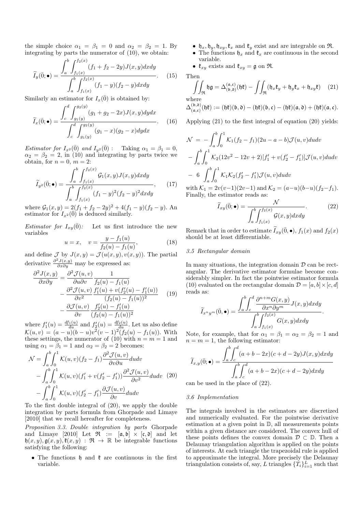the simple choice  $\alpha_1 = \beta_1 = 0$  and  $\alpha_2 = \beta_2 = 1$ . By integrating by parts the numerator of (10), we obtain:

$$
\widetilde{I}_y(\overline{0}; \bullet) = \frac{\int_a^b \int_{f_1(x)}^{f_2(x)} (f_1 + f_2 - 2y) J(x, y) dx dy}{\int_a^b \int_{f_1(x)}^{f_2(x)} (f_1 - y)(f_2 - y) dx dy}.
$$
 (15)

Similarly an estimator for  $I_x(\bar{0})$  is obtained by:

 $\overline{z}$   $\overline{z}$ 

$$
\widetilde{I}_x(\overline{0}; \bullet) = \frac{\int_c^d \int_{g_1(y)}^{g_2(y)} (g_1 + g_2 - 2x) J(x, y) dy dx}{\int_c^d \int_{g_1(y)}^{g_2(y)} (g_1 - x)(g_2 - x) dy dx}.
$$
 (16)

Estimator for  $I_{x^2}(\bar{0})$  and  $I_{y^2}(\bar{0})$ : Taking  $\alpha_1 = \beta_1 = 0$ ,  $\alpha_2 = \beta_2 = 2$ , in (10) and integrating by parts twice we obtain, for  $n = 0$ ,  $m = 2$ :

$$
\widetilde{I}_{y^2}(\bar{0}; \bullet) = \frac{\int_a^b \int_{f_1(x)}^{f_2(x)} \mathcal{G}_1(x, y) J(x, y) dx dy}{\int_a^b \int_{f_1(x)}^{f_2(x)} (f_1 - y)^2 (f_2 - y)^2 dx dy},
$$
(17)

where  $G_1(x, y) = 2(f_1 + f_2 - 2y)^2 + 4(f_1 - y)(f_2 - y)$ . An estimator for  $I_{x^2}(\overline{0})$  is deduced similarly.

*Estimator for*  $I_{x,y}(\overline{0})$ : Let us first introduce the new variables

$$
u = x, \quad v = \frac{y - f_1(u)}{f_2(u) - f_1(u)},\tag{18}
$$

and define  $\mathcal J$  by  $J(x, y) = \mathcal J(u(x, y), v(x, y))$ . The partial derivative  $\frac{\partial^2 J(x,y)}{\partial x \partial y}$  may be expressed as:

$$
\frac{\partial^2 J(x,y)}{\partial x \partial y} = \frac{\partial^2 J(u,v)}{\partial u \partial v} \frac{1}{f_2(u) - f_1(u)} \n- \frac{\partial^2 J(u,v)}{\partial v^2} \frac{f'_1(u) + v(f'_2(u) - f'_1(u))}{(f_2(u) - f_1(u))^2} \n- \frac{\partial J(u,v)}{\partial v} \frac{f'_2(u) - f'_1(u)}{(f_2(u) - f_1(u))^2}
$$
\n(19)

where  $f_1'(u) = \frac{df_1(u)}{du}$  and  $f_2'(u) = \frac{df_2(u)}{du}$ . Let us also define  $\mathcal{K}(u, v) = (a - u)(b - u)v^2(v - 1)^2(f_2(u) - f_1(u))$ . With these settings, the numerator of (10) with  $n = m = 1$  and using  $\alpha_1 = \beta_1 = 1$  and  $\alpha_2 = \beta_2 = 2$  becomes:

$$
\mathcal{N} = \int_{a}^{b} \int_{0}^{1} \mathcal{K}(u, v)(f_2 - f_1) \frac{\partial^2 \mathcal{J}(u, v)}{\partial v \partial u} du dv \n- \int_{a}^{b} \int_{0}^{1} \mathcal{K}(u, v)(f_1' + v(f_2' - f_1')) \frac{\partial^2 \mathcal{J}(u, v)}{\partial v^2} du dv \quad (20) \n- \int_{a}^{b} \int_{0}^{1} \mathcal{K}(u, v)(f_2' - f_1') \frac{\partial \mathcal{J}(u, v)}{\partial v} du dv
$$

To the first double integral of (20), we apply the double integration by parts formula from Ghorpade and Limaye [2010] that we recall hereafter for completeness.

Proposition 3.3. Double integration by parts Ghorpade and Limaye [2010] Let  $\mathfrak{R} := [\mathfrak{a}, \mathfrak{b}] \times [\mathfrak{c}, \mathfrak{d}]$  and let  $\mathfrak{h}(x, y), \mathfrak{g}(x, y), \mathfrak{k}(x, y) : \mathfrak{R} \to \mathbb{R}$  be integrable functions satisfying the following:

• The functions  $\mathfrak h$  and  $\mathfrak k$  are continuous in the first variable.

- $\mathfrak{h}_x, \mathfrak{h}_y, \mathfrak{h}_{xy}, \mathfrak{k}_x$  and  $\mathfrak{k}_y$  exist and are integrable on  $\mathfrak{R}$ .
- The functions  $\mathfrak{h}_x$  and  $\mathfrak{k}_x$  are continuous in the second variable.

•  $\mathfrak{k}_{xy}$  exists and  $\mathfrak{k}_{xy} = \mathfrak{g}$  on  $\mathfrak{R}$ .

Then

$$
\iint_{\mathfrak{R}} \mathfrak{h} \mathfrak{g} = \Delta_{(\mathfrak{b},\mathfrak{d})}^{(\mathfrak{a},\mathfrak{c})}(\mathfrak{h}\mathfrak{k}) - \iint_{\mathfrak{R}} (\mathfrak{h}_x \mathfrak{k}_y + \mathfrak{h}_y \mathfrak{k}_x + \mathfrak{h}_{xy} \mathfrak{k}) \quad (21)
$$
 where

$$
\Delta^{(\mathfrak{b},\mathfrak{d})}_{(\mathfrak{a},\mathfrak{c})}(\mathfrak{h}\mathfrak{k}):=(\mathfrak{h}\mathfrak{k})(\mathfrak{b},\mathfrak{d})-(\mathfrak{h}\mathfrak{k})(\mathfrak{b},\mathfrak{c})-(\mathfrak{h}\mathfrak{k})(\mathfrak{a},\mathfrak{d})+(\mathfrak{h}\mathfrak{k})(\mathfrak{a},\mathfrak{c}).
$$

Applying  $(21)$  to the first integral of equation  $(20)$  yields:

$$
\mathcal{N} = -\int_{a}^{b} \int_{0}^{1} \mathcal{K}_{1}(f_{2} - f_{1})(2u - a - b) \mathcal{J}(u, v) du dv
$$

$$
-\int_{a}^{b} \int_{0}^{1} \mathcal{K}_{2}(12v^{2} - 12v + 2)[f'_{1} + v(f'_{2} - f'_{1})] \mathcal{J}(u, v) du dv
$$

$$
- 6 \int_{a}^{b} \int_{0}^{1} \mathcal{K}_{1} \mathcal{K}_{2}(f'_{2} - f'_{1}) \mathcal{J}(u, v) du dv
$$

with  $\mathcal{K}_1 = 2v(v-1)(2v-1)$  and  $\mathcal{K}_2 = (a-u)(b-u)(f_2-f_1)$ . Finally, the estimator reads as:

$$
\widetilde{I}_{xy}(\overline{0}; \bullet) = \frac{\mathcal{N}}{\int_a^b \int_{f_1(x)}^{f_2(x)} \mathcal{G}(x, y) dx dy}.
$$
\n(22)

Remark that in order to estimate  $\tilde{I}_{xy}(\bar{0}, \bullet)$ ,  $f_1(x)$  and  $f_2(x)$ should be at least differentiable.

# 3.5 Rectangular domain

In many situations, the integration domain  $\mathcal D$  can be rectangular. The derivative estimator formulae become considerably simpler. In fact the pointwise estimator formula (10) evaluated on the rectangular domain  $\mathcal{D} = [a, b] \times [c, d]$ reads as:

$$
\widetilde{I}_{x^{n}y^{m}}(\overline{0}, \bullet) = \frac{\int_{a}^{b} \int_{c}^{d} \frac{\partial^{n+m}G(x, y)}{\partial x^{n} \partial y^{m}} J(x, y) dxdy}{\int_{a}^{b} \int_{f_{1}(x)}^{f_{2}(x)} G(x, y) dxdy}.
$$

Note, for example, that for  $\alpha_1 = \beta_1 = \alpha_2 = \beta_2 = 1$  and  $n = m = 1$ , the following estimator:

$$
\widetilde{I}_{x,y}(\overline{0}; \bullet) = \frac{\int_a^b \int_c^d (a+b-2x)(c+d-2y)J(x,y)dxdy}{\int_a^b \int_c^d (a+b-2x)(c+d-2y)dxdy}
$$

can be used in the place of (22).

#### 3.6 Implementation

The integrals involved in the estimators are discretized and numerically evaluated. For the pointwise derivative estimation at a given point in D, all measurements points within a given distance are considered. The convex hull of these points defines the convex domain  $\mathcal{D} \subset \mathbb{D}$ . Then a Delaunay triangulation algorithm is applied on the points of interests. At each triangle the trapezoidal rule is applied to approximate the integral. More precisely the Delaunay triangulation consists of, say, L triangles  $\{T_i\}_{i=1}^L$  such that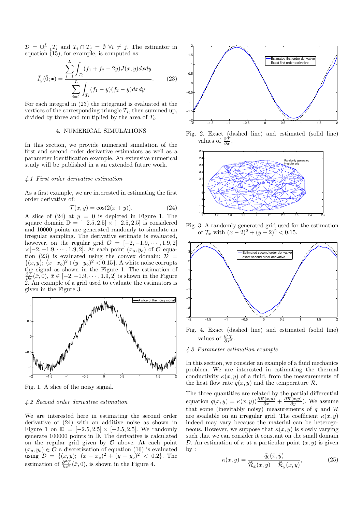$\mathcal{D} = \bigcup_{i=1}^{L} T_i$  and  $T_i \cap T_j = \emptyset \ \forall i \neq j$ . The estimator in equation  $(15)$ , for example, is computed as:

$$
\widetilde{I}_y(\bar{0}; \bullet) = \frac{\sum_{i=1}^{L} \int_{T_i} (f_1 + f_2 - 2y) J(x, y) dx dy}{\sum_{i=1}^{L} \int_{T_i} (f_1 - y)(f_2 - y) dx dy}.
$$
 (23)

For each integral in (23) the integrand is evaluated at the vertices of the corresponding triangle  $T_i$ , then summed up, divided by three and multiplied by the area of  $T_i$ .

#### 4. NUMERICAL SIMULATIONS

In this section, we provide numerical simulation of the first and second order derivative estimators as well as a parameter identification example. An extensive numerical study will be published in a an extended future work.

#### 4.1 First order derivative estimation

As a first example, we are interested in estimating the first order derivative of:

$$
\mathcal{T}(x, y) = \cos(2(x + y)).\tag{24}
$$

A slice of  $(24)$  at  $y = 0$  is depicted in Figure 1. The square domain  $\mathbb{D} = [-2.5, 2.5] \times [-2.5, 2.5]$  is considered and 10000 points are generated randomly to simulate an irregular sampling. The derivative estimate is evaluated, however, on the regular grid  $\mathcal{O} = [-2, -1.9, \cdots, 1.9, 2]$  $\times[-2,-1.9,\cdots,1.9,2]$ . At each point  $(x_o,y_o)$  of  $\mathcal O$  equation (23) is evaluated using the convex domain:  $\mathcal{D}$  =  $\{(x, y); (x-x<sub>o</sub>)<sup>2</sup> + (y-y<sub>o</sub>)<sup>2</sup> < 0.15\}$ . A white noise corrupts the signal as shown in the Figure 1. The estimation of  $\frac{\partial \mathcal{T}}{\partial x}(\bar{x},0), \, \bar{x} \in [-2, -1.9, \cdots, 1.9, 2]$  is shown in the Figure 2. An example of a grid used to evaluate the estimators is given in the Figure 3.



Fig. 1. A slice of the noisy signal.

### 4.2 Second order derivative estimation

We are interested here in estimating the second order derivative of (24) with an additive noise as shown in Figure 1 on  $\mathbb{D} = [-2.5, 2.5] \times [-2.5, 2.5]$ . We randomly generate 100000 points in D. The derivative is calculated on the regular grid given by  $\mathcal O$  above. At each point  $(x_o, y_o) \in \mathcal{O}$  a discretization of equation (16) is evaluated using  $\mathcal{D} = \{ (x, y); (x - x_o)^2 + (y - y_o)^2 \leq 0.2 \}.$  The estimation of  $\frac{\partial^2 \mathcal{T}}{\partial x^2}(\bar{x},0)$ , is shown in the Figure 4.



Fig. 2. Exact (dashed line) and estimated (solid line) values of  $\frac{\partial \mathcal{T}}{\partial x}$ .



Fig. 3. A randomly generated grid used for the estimation of  $\mathcal{T}_x$  with  $(x-2)^2 + (y-2)^2 < 0.15$ .



- Fig. 4. Exact (dashed line) and estimated (solid line) values of  $\frac{\partial^2 \mathcal{T}}{\partial x^2}$ .
- 4.3 Parameter estimation example

In this section, we consider an example of a fluid mechanics problem. We are interested in estimating the thermal conductivity  $\kappa(x, y)$  of a fluid, from the measurements of the heat flow rate  $q(x, y)$  and the temperature  $\mathcal{R}$ .

The three quantities are related by the partial differential equation  $q(x, y) = \kappa(x, y) \left( \frac{\partial \mathcal{R}(x, y)}{\partial x} + \frac{\partial \mathcal{R}(x, y)}{\partial y} \right)$ . We assume that some (inevitably noisy) measurements of q and  $\mathcal R$ are available on an irregular grid. The coefficient  $\kappa(x, y)$ indeed may vary because the material can be heterogeneous. However, we suppose that  $\kappa(x, y)$  is slowly varying such that we can consider it constant on the small domain D. An estimation of  $\kappa$  at a particular point  $(\bar{x}, \bar{y})$  is given by :

$$
\kappa(\bar{x}, \bar{y}) = \frac{\tilde{q}_0(\bar{x}, \bar{y})}{\tilde{\mathcal{R}}_x(\bar{x}, \bar{y}) + \tilde{\mathcal{R}}_y(\bar{x}, \bar{y})},
$$
(25)